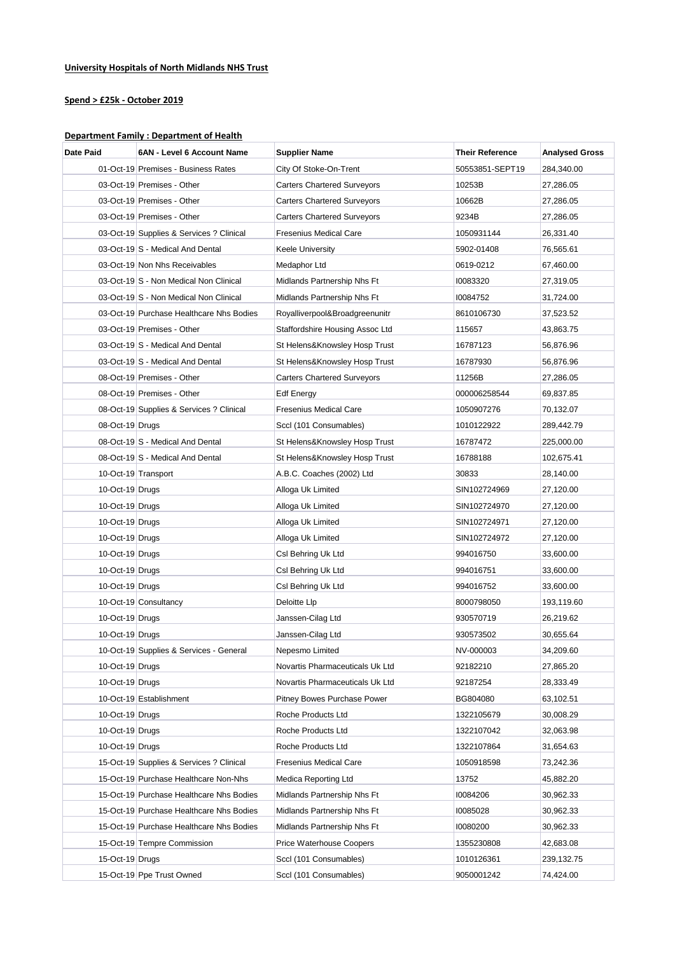## **University Hospitals of North Midlands NHS Trust**

## **Spend > £25k - October 2019**

## **Department Family : Department of Health**

| Date Paid           | 6AN - Level 6 Account Name               | Supplier Name                      | <b>Their Reference</b> | <b>Analysed Gross</b> |
|---------------------|------------------------------------------|------------------------------------|------------------------|-----------------------|
|                     | 01-Oct-19 Premises - Business Rates      | City Of Stoke-On-Trent             | 50553851-SEPT19        | 284,340.00            |
|                     | 03-Oct-19 Premises - Other               | <b>Carters Chartered Surveyors</b> | 10253B                 | 27,286.05             |
|                     | 03-Oct-19 Premises - Other               | <b>Carters Chartered Surveyors</b> | 10662B                 | 27,286.05             |
|                     | 03-Oct-19 Premises - Other               | <b>Carters Chartered Surveyors</b> | 9234B                  | 27,286.05             |
|                     | 03-Oct-19 Supplies & Services ? Clinical | Fresenius Medical Care             | 1050931144             | 26,331.40             |
|                     | 03-Oct-19 S - Medical And Dental         | Keele University                   | 5902-01408             | 76,565.61             |
|                     | 03-Oct-19 Non Nhs Receivables            | Medaphor Ltd                       | 0619-0212              | 67,460.00             |
|                     | 03-Oct-19 S - Non Medical Non Clinical   | Midlands Partnership Nhs Ft        | 10083320               | 27,319.05             |
|                     | 03-Oct-19 S - Non Medical Non Clinical   | Midlands Partnership Nhs Ft        | 10084752               | 31,724.00             |
|                     | 03-Oct-19 Purchase Healthcare Nhs Bodies | Royalliverpool&Broadgreenunitr     | 8610106730             | 37,523.52             |
|                     | 03-Oct-19 Premises - Other               | Staffordshire Housing Assoc Ltd    | 115657                 | 43,863.75             |
|                     | 03-Oct-19 S - Medical And Dental         | St Helens&Knowsley Hosp Trust      | 16787123               | 56,876.96             |
|                     | 03-Oct-19 S - Medical And Dental         | St Helens&Knowsley Hosp Trust      | 16787930               | 56,876.96             |
|                     | 08-Oct-19 Premises - Other               | <b>Carters Chartered Surveyors</b> | 11256B                 | 27,286.05             |
|                     | 08-Oct-19 Premises - Other               | <b>Edf Energy</b>                  | 000006258544           | 69,837.85             |
|                     | 08-Oct-19 Supplies & Services ? Clinical | Fresenius Medical Care             | 1050907276             | 70,132.07             |
| 08-Oct-19 Drugs     |                                          | Sccl (101 Consumables)             | 1010122922             | 289,442.79            |
|                     | 08-Oct-19 S - Medical And Dental         | St Helens&Knowsley Hosp Trust      | 16787472               | 225,000.00            |
|                     | 08-Oct-19 S - Medical And Dental         | St Helens&Knowsley Hosp Trust      | 16788188               | 102,675.41            |
| 10-Oct-19 Transport |                                          | A.B.C. Coaches (2002) Ltd          | 30833                  | 28,140.00             |
| 10-Oct-19 Drugs     |                                          | Alloga Uk Limited                  | SIN102724969           | 27,120.00             |
| 10-Oct-19 Drugs     |                                          | Alloga Uk Limited                  | SIN102724970           | 27,120.00             |
| 10-Oct-19 Drugs     |                                          | Alloga Uk Limited                  | SIN102724971           | 27,120.00             |
| 10-Oct-19 Drugs     |                                          | Alloga Uk Limited                  | SIN102724972           | 27,120.00             |
| 10-Oct-19 Drugs     |                                          | Csl Behring Uk Ltd                 | 994016750              | 33,600.00             |
| 10-Oct-19 Drugs     |                                          | Csl Behring Uk Ltd                 | 994016751              | 33,600.00             |
| 10-Oct-19 Drugs     |                                          | Csl Behring Uk Ltd                 | 994016752              | 33,600.00             |
|                     | 10-Oct-19 Consultancy                    | Deloitte Llp                       | 8000798050             | 193,119.60            |
| 10-Oct-19 Drugs     |                                          | Janssen-Cilag Ltd                  | 930570719              | 26,219.62             |
| 10-Oct-19 Drugs     |                                          | Janssen-Cilag Ltd                  | 930573502              | 30,655.64             |
|                     | 10-Oct-19 Supplies & Services - General  | Nepesmo Limited                    | NV-000003              | 34,209.60             |
| $10$ -Oct-19 Drugs  |                                          | Novartis Pharmaceuticals Uk Ltd    | 92182210               | 27,865.20             |
| 10-Oct-19 Drugs     |                                          | Novartis Pharmaceuticals Uk Ltd    | 92187254               | 28,333.49             |
|                     | 10-Oct-19 Establishment                  | Pitney Bowes Purchase Power        | BG804080               | 63,102.51             |
| 10-Oct-19 Drugs     |                                          | Roche Products Ltd                 | 1322105679             | 30,008.29             |
| 10-Oct-19 Drugs     |                                          | Roche Products Ltd                 | 1322107042             | 32,063.98             |
| 10-Oct-19 Drugs     |                                          | Roche Products Ltd                 | 1322107864             | 31,654.63             |
|                     | 15-Oct-19 Supplies & Services ? Clinical | <b>Fresenius Medical Care</b>      | 1050918598             | 73,242.36             |
|                     | 15-Oct-19 Purchase Healthcare Non-Nhs    | Medica Reporting Ltd               | 13752                  | 45,882.20             |
|                     | 15-Oct-19 Purchase Healthcare Nhs Bodies | Midlands Partnership Nhs Ft        | 10084206               | 30,962.33             |
|                     | 15-Oct-19 Purchase Healthcare Nhs Bodies | Midlands Partnership Nhs Ft        | 10085028               | 30,962.33             |
|                     | 15-Oct-19 Purchase Healthcare Nhs Bodies | Midlands Partnership Nhs Ft        | 10080200               | 30,962.33             |
|                     | 15-Oct-19 Tempre Commission              | <b>Price Waterhouse Coopers</b>    | 1355230808             | 42,683.08             |
| 15-Oct-19 Drugs     |                                          | Sccl (101 Consumables)             | 1010126361             | 239,132.75            |
|                     | 15-Oct-19 Ppe Trust Owned                | Sccl (101 Consumables)             | 9050001242             | 74,424.00             |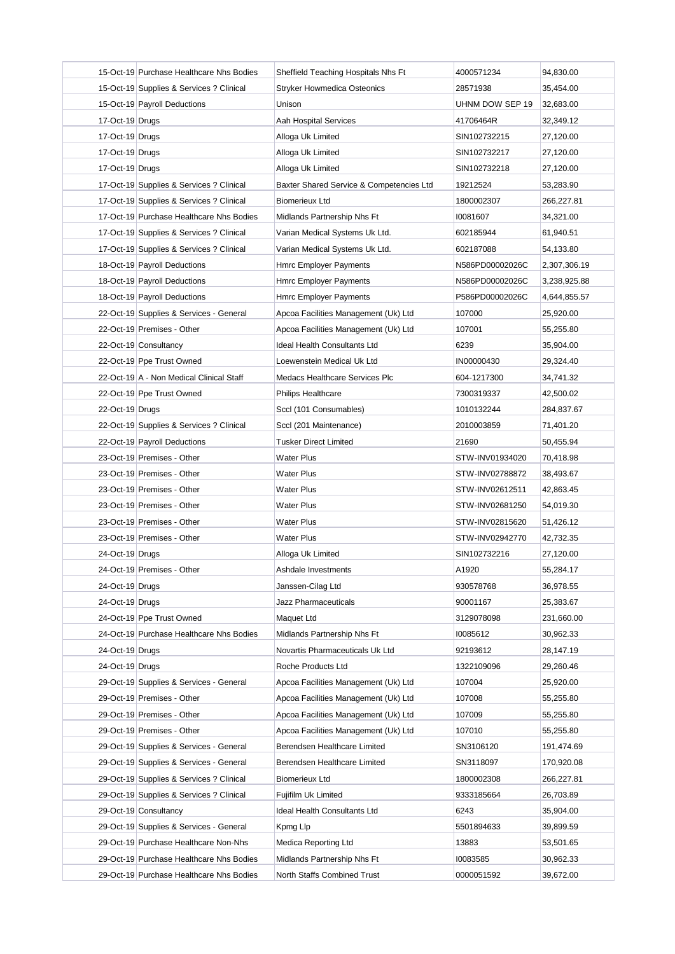|                 | 15-Oct-19 Purchase Healthcare Nhs Bodies | Sheffield Teaching Hospitals Nhs Ft      | 4000571234      | 94,830.00    |
|-----------------|------------------------------------------|------------------------------------------|-----------------|--------------|
|                 | 15-Oct-19 Supplies & Services ? Clinical | <b>Stryker Howmedica Osteonics</b>       | 28571938        | 35,454.00    |
|                 | 15-Oct-19 Payroll Deductions             | Unison                                   | UHNM DOW SEP 19 | 32,683.00    |
| 17-Oct-19 Drugs |                                          | Aah Hospital Services                    | 41706464R       | 32,349.12    |
| 17-Oct-19 Drugs |                                          | Alloga Uk Limited                        | SIN102732215    | 27,120.00    |
| 17-Oct-19 Drugs |                                          | Alloga Uk Limited                        | SIN102732217    | 27,120.00    |
| 17-Oct-19 Drugs |                                          | Alloga Uk Limited                        | SIN102732218    | 27,120.00    |
|                 | 17-Oct-19 Supplies & Services ? Clinical | Baxter Shared Service & Competencies Ltd | 19212524        | 53,283.90    |
|                 | 17-Oct-19 Supplies & Services ? Clinical | <b>Biomerieux Ltd</b>                    | 1800002307      | 266,227.81   |
|                 | 17-Oct-19 Purchase Healthcare Nhs Bodies | Midlands Partnership Nhs Ft              | 10081607        | 34,321.00    |
|                 | 17-Oct-19 Supplies & Services ? Clinical | Varian Medical Systems Uk Ltd.           | 602185944       | 61,940.51    |
|                 | 17-Oct-19 Supplies & Services ? Clinical | Varian Medical Systems Uk Ltd.           | 602187088       | 54,133.80    |
|                 | 18-Oct-19 Payroll Deductions             | <b>Hmrc Employer Payments</b>            | N586PD00002026C | 2,307,306.19 |
|                 | 18-Oct-19 Payroll Deductions             | Hmrc Employer Payments                   | N586PD00002026C | 3,238,925.88 |
|                 | 18-Oct-19 Payroll Deductions             | Hmrc Employer Payments                   | P586PD00002026C | 4,644,855.57 |
|                 | 22-Oct-19 Supplies & Services - General  | Apcoa Facilities Management (Uk) Ltd     | 107000          | 25,920.00    |
|                 | 22-Oct-19 Premises - Other               | Apcoa Facilities Management (Uk) Ltd     | 107001          | 55,255.80    |
|                 | 22-Oct-19 Consultancy                    | Ideal Health Consultants Ltd             | 6239            | 35,904.00    |
|                 | 22-Oct-19 Ppe Trust Owned                | Loewenstein Medical Uk Ltd               | IN00000430      | 29,324.40    |
|                 | 22-Oct-19 A - Non Medical Clinical Staff | Medacs Healthcare Services Plc           | 604-1217300     | 34,741.32    |
|                 | 22-Oct-19 Ppe Trust Owned                | <b>Philips Healthcare</b>                | 7300319337      | 42,500.02    |
| 22-Oct-19 Drugs |                                          | Sccl (101 Consumables)                   | 1010132244      | 284,837.67   |
|                 | 22-Oct-19 Supplies & Services ? Clinical | Sccl (201 Maintenance)                   | 2010003859      | 71,401.20    |
|                 | 22-Oct-19 Payroll Deductions             | <b>Tusker Direct Limited</b>             | 21690           | 50,455.94    |
|                 | 23-Oct-19 Premises - Other               | <b>Water Plus</b>                        | STW-INV01934020 | 70,418.98    |
|                 | 23-Oct-19 Premises - Other               | <b>Water Plus</b>                        | STW-INV02788872 | 38,493.67    |
|                 | 23-Oct-19 Premises - Other               | <b>Water Plus</b>                        | STW-INV02612511 | 42,863.45    |
|                 | 23-Oct-19 Premises - Other               | <b>Water Plus</b>                        | STW-INV02681250 | 54,019.30    |
|                 | 23-Oct-19 Premises - Other               | <b>Water Plus</b>                        | STW-INV02815620 | 51,426.12    |
|                 | 23-Oct-19 Premises - Other               | <b>Water Plus</b>                        | STW-INV02942770 | 42,732.35    |
| 24-Oct-19 Drugs |                                          | Alloga Uk Limited                        | SIN102732216    | 27,120.00    |
|                 | 24-Oct-19 Premises - Other               | Ashdale Investments                      | A1920           | 55,284.17    |
| 24-Oct-19 Drugs |                                          | Janssen-Cilag Ltd                        | 930578768       | 36,978.55    |
| 24-Oct-19 Drugs |                                          | Jazz Pharmaceuticals                     | 90001167        | 25,383.67    |
|                 | 24-Oct-19 Ppe Trust Owned                | Maquet Ltd                               | 3129078098      | 231,660.00   |
|                 | 24-Oct-19 Purchase Healthcare Nhs Bodies | Midlands Partnership Nhs Ft              | 10085612        | 30,962.33    |
| 24-Oct-19 Drugs |                                          | Novartis Pharmaceuticals Uk Ltd          | 92193612        | 28,147.19    |
| 24-Oct-19 Drugs |                                          | Roche Products Ltd                       | 1322109096      | 29,260.46    |
|                 | 29-Oct-19 Supplies & Services - General  | Apcoa Facilities Management (Uk) Ltd     | 107004          | 25,920.00    |
|                 | 29-Oct-19 Premises - Other               | Apcoa Facilities Management (Uk) Ltd     | 107008          | 55,255.80    |
|                 | 29-Oct-19 Premises - Other               | Apcoa Facilities Management (Uk) Ltd     | 107009          | 55,255.80    |
|                 | 29-Oct-19 Premises - Other               | Apcoa Facilities Management (Uk) Ltd     | 107010          | 55,255.80    |
|                 | 29-Oct-19 Supplies & Services - General  | Berendsen Healthcare Limited             | SN3106120       | 191,474.69   |
|                 | 29-Oct-19 Supplies & Services - General  | Berendsen Healthcare Limited             | SN3118097       | 170,920.08   |
|                 | 29-Oct-19 Supplies & Services ? Clinical | <b>Biomerieux Ltd</b>                    | 1800002308      | 266,227.81   |
|                 | 29-Oct-19 Supplies & Services ? Clinical | Fujifilm Uk Limited                      | 9333185664      | 26,703.89    |
|                 | 29-Oct-19 Consultancy                    | Ideal Health Consultants Ltd             | 6243            | 35,904.00    |
|                 | 29-Oct-19 Supplies & Services - General  | Kpmg Llp                                 | 5501894633      | 39,899.59    |
|                 | 29-Oct-19 Purchase Healthcare Non-Nhs    | Medica Reporting Ltd                     | 13883           | 53,501.65    |
|                 | 29-Oct-19 Purchase Healthcare Nhs Bodies | Midlands Partnership Nhs Ft              | 10083585        | 30,962.33    |
|                 | 29-Oct-19 Purchase Healthcare Nhs Bodies | North Staffs Combined Trust              | 0000051592      | 39,672.00    |